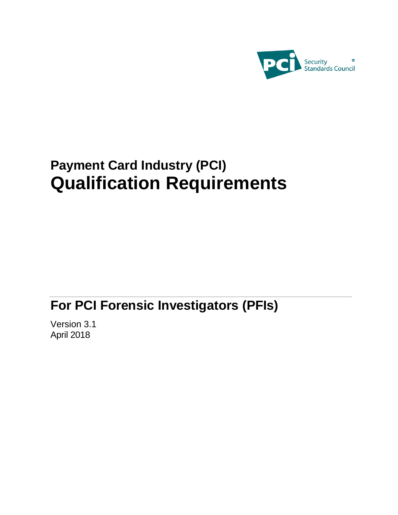

# **Payment Card Industry (PCI) Qualification Requirements**

# **For PCI Forensic Investigators (PFIs)**

Version 3.1 April 2018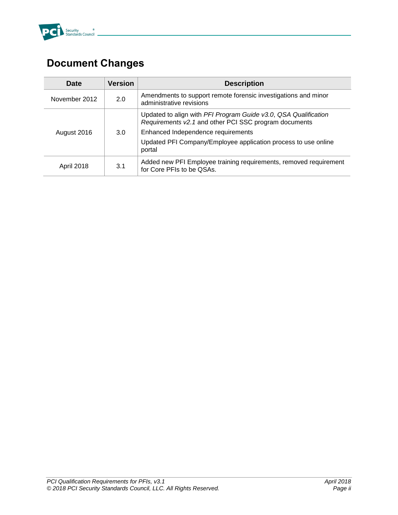

# <span id="page-1-0"></span>**Document Changes**

| <b>Date</b>   | <b>Version</b> | <b>Description</b>                                                                                                       |
|---------------|----------------|--------------------------------------------------------------------------------------------------------------------------|
| November 2012 | 2.0            | Amendments to support remote forensic investigations and minor<br>administrative revisions                               |
|               | 3.0            | Updated to align with PFI Program Guide v3.0, QSA Qualification<br>Requirements v2.1 and other PCI SSC program documents |
| August 2016   |                | Enhanced Independence requirements                                                                                       |
|               |                | Updated PFI Company/Employee application process to use online<br>portal                                                 |
| April 2018    | 3.1            | Added new PFI Employee training requirements, removed requirement<br>for Core PFIs to be QSAs.                           |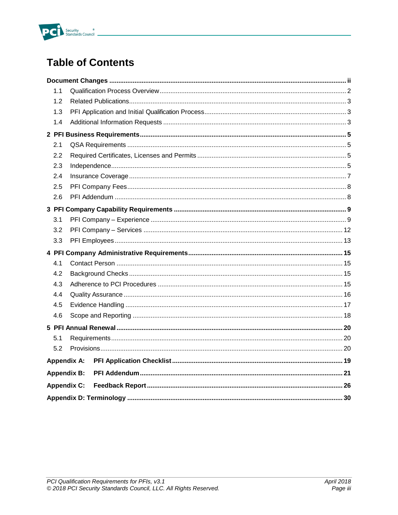

# **Table of Contents**

| 1.1                |                    |  |  |
|--------------------|--------------------|--|--|
| 1.2                |                    |  |  |
| 1.3                |                    |  |  |
| 1.4                |                    |  |  |
|                    |                    |  |  |
| 2.1                |                    |  |  |
| 2.2                |                    |  |  |
| 2.3                |                    |  |  |
| 2.4                |                    |  |  |
| 2.5                |                    |  |  |
| 2.6                |                    |  |  |
|                    |                    |  |  |
| 3.1                |                    |  |  |
| 3.2                |                    |  |  |
| 3.3                |                    |  |  |
|                    |                    |  |  |
| 4.1                |                    |  |  |
| 4.2                |                    |  |  |
| 4.3                |                    |  |  |
| 4.4                |                    |  |  |
| 4.5                |                    |  |  |
| 4.6                |                    |  |  |
|                    |                    |  |  |
| 5.1                |                    |  |  |
| 5.2                |                    |  |  |
| <b>Appendix A:</b> |                    |  |  |
| <b>Appendix B:</b> |                    |  |  |
|                    | <b>Appendix C:</b> |  |  |
|                    |                    |  |  |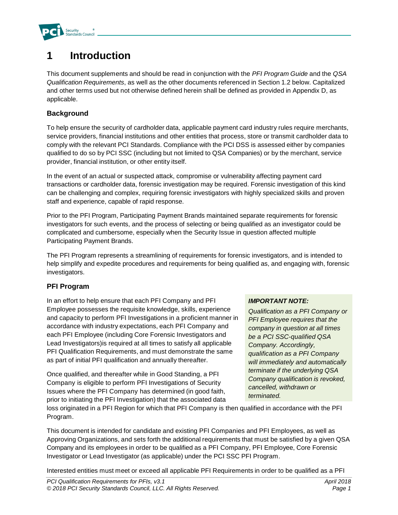

# **1 Introduction**

This document supplements and should be read in conjunction with the *PFI Program Guide* and the *QSA Qualification Requirements*, as well as the other documents referenced in Section 1.2 below. Capitalized and other terms used but not otherwise defined herein shall be defined as provided in Appendix D, as applicable.

#### **Background**

To help ensure the security of cardholder data, applicable payment card industry rules require merchants, service providers, financial institutions and other entities that process, store or transmit cardholder data to comply with the relevant PCI Standards. Compliance with the PCI DSS is assessed either by companies qualified to do so by PCI SSC (including but not limited to QSA Companies) or by the merchant, service provider, financial institution, or other entity itself.

In the event of an actual or suspected attack, compromise or vulnerability affecting payment card transactions or cardholder data, forensic investigation may be required. Forensic investigation of this kind can be challenging and complex, requiring forensic investigators with highly specialized skills and proven staff and experience, capable of rapid response.

Prior to the PFI Program, Participating Payment Brands maintained separate requirements for forensic investigators for such events, and the process of selecting or being qualified as an investigator could be complicated and cumbersome, especially when the Security Issue in question affected multiple Participating Payment Brands.

The PFI Program represents a streamlining of requirements for forensic investigators, and is intended to help simplify and expedite procedures and requirements for being qualified as, and engaging with, forensic investigators.

#### **PFI Program**

In an effort to help ensure that each PFI Company and PFI Employee possesses the requisite knowledge, skills, experience and capacity to perform PFI Investigations in a proficient manner in accordance with industry expectations, each PFI Company and each PFI Employee (including Core Forensic Investigators and Lead Investigators)is required at all times to satisfy all applicable PFI Qualification Requirements, and must demonstrate the same as part of initial PFI qualification and annually thereafter.

Once qualified, and thereafter while in Good Standing, a PFI Company is eligible to perform PFI Investigations of Security Issues where the PFI Company has determined (in good faith, prior to initiating the PFI Investigation) that the associated data

#### *IMPORTANT NOTE:*

*Qualification as a PFI Company or PFI Employee requires that the company in question at all times be a PCI SSC-qualified QSA Company. Accordingly, qualification as a PFI Company will immediately and automatically terminate if the underlying QSA Company qualification is revoked, cancelled, withdrawn or terminated.*

loss originated in a PFI Region for which that PFI Company is then qualified in accordance with the PFI Program.

This document is intended for candidate and existing PFI Companies and PFI Employees, as well as Approving Organizations, and sets forth the additional requirements that must be satisfied by a given QSA Company and its employees in order to be qualified as a PFI Company, PFI Employee, Core Forensic Investigator or Lead Investigator (as applicable) under the PCI SSC PFI Program.

Interested entities must meet or exceed all applicable PFI Requirements in order to be qualified as a PFI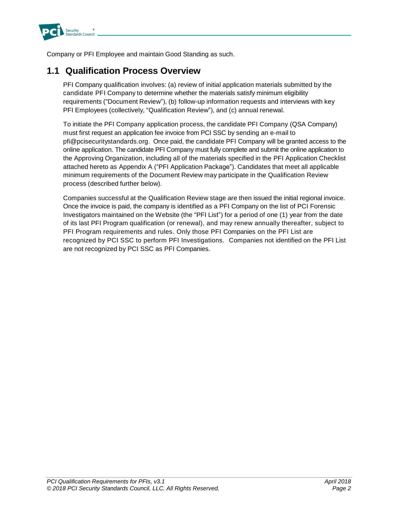

Company or PFI Employee and maintain Good Standing as such.

### <span id="page-4-0"></span>**1.1 Qualification Process Overview**

PFI Company qualification involves: (a) review of initial application materials submitted by the candidate PFI Company to determine whether the materials satisfy minimum eligibility requirements ("Document Review"), (b) follow-up information requests and interviews with key PFI Employees (collectively, "Qualification Review"), and (c) annual renewal.

To initiate the PFI Company application process, the candidate PFI Company (QSA Company) must first request an application fee invoice from PCI SSC by sending an e-mail to pfi@pcisecuritystandards.org. Once paid, the candidate PFI Company will be granted access to the online application. The candidate PFI Company must fully complete and submit the online application to the Approving Organization, including all of the materials specified in the PFI Application Checklist attached hereto as Appendix A ("PFI Application Package"). Candidates that meet all applicable minimum requirements of the Document Review may participate in the Qualification Review process (described further below).

Companies successful at the Qualification Review stage are then issued the initial regional invoice. Once the invoice is paid, the company is identified as a PFI Company on the list of PCI Forensic Investigators maintained on the Website (the "PFI List") for a period of one (1) year from the date of its last PFI Program qualification (or renewal), and may renew annually thereafter, subject to PFI Program requirements and rules. Only those PFI Companies on the PFI List are recognized by PCI SSC to perform PFI Investigations. Companies not identified on the PFI List are not recognized by PCI SSC as PFI Companies.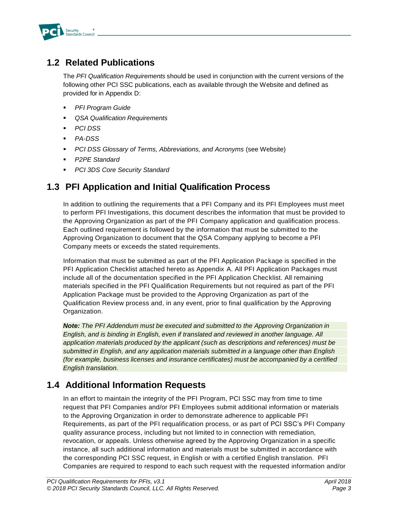

### <span id="page-5-0"></span>**1.2 Related Publications**

The *PFI Qualification Requirements* should be used in conjunction with the current versions of the following other PCI SSC publications, each as available through the Website and defined as provided for in Appendix D:

- *PFI Program Guide*
- *QSA Qualification Requirements*
- *PCI DSS*
- *PA-DSS*
- **PCI DSS Glossary of Terms, Abbreviations, and Acronyms (see Website)**
- **P2PE Standard**
- *PCI 3DS Core Security Standard*

### <span id="page-5-1"></span>**1.3 PFI Application and Initial Qualification Process**

In addition to outlining the requirements that a PFI Company and its PFI Employees must meet to perform PFI Investigations, this document describes the information that must be provided to the Approving Organization as part of the PFI Company application and qualification process. Each outlined requirement is followed by the information that must be submitted to the Approving Organization to document that the QSA Company applying to become a PFI Company meets or exceeds the stated requirements.

Information that must be submitted as part of the PFI Application Package is specified in the PFI Application Checklist attached hereto as Appendix A. All PFI Application Packages must include all of the documentation specified in the PFI Application Checklist. All remaining materials specified in the PFI Qualification Requirements but not required as part of the PFI Application Package must be provided to the Approving Organization as part of the Qualification Review process and, in any event, prior to final qualification by the Approving Organization.

*Note: The PFI Addendum must be executed and submitted to the Approving Organization in English, and is binding in English, even if translated and reviewed in another language. All application materials produced by the applicant (such as descriptions and references) must be submitted in English, and any application materials submitted in a language other than English (for example, business licenses and insurance certificates) must be accompanied by a certified English translation.*

### <span id="page-5-2"></span>**1.4 Additional Information Requests**

In an effort to maintain the integrity of the PFI Program, PCI SSC may from time to time request that PFI Companies and/or PFI Employees submit additional information or materials to the Approving Organization in order to demonstrate adherence to applicable PFI Requirements, as part of the PFI requalification process, or as part of PCI SSC's PFI Company quality assurance process, including but not limited to in connection with remediation, revocation, or appeals. Unless otherwise agreed by the Approving Organization in a specific instance, all such additional information and materials must be submitted in accordance with the corresponding PCI SSC request, in English or with a certified English translation. PFI Companies are required to respond to each such request with the requested information and/or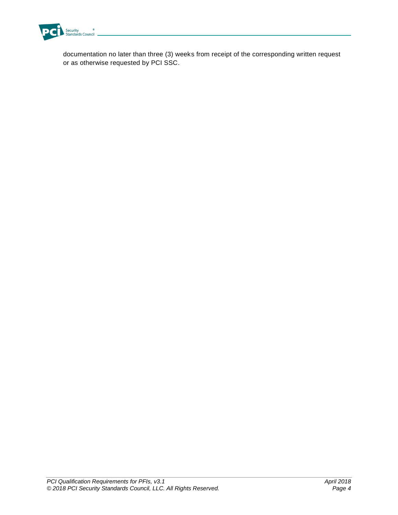

documentation no later than three (3) weeks from receipt of the corresponding written request or as otherwise requested by PCI SSC.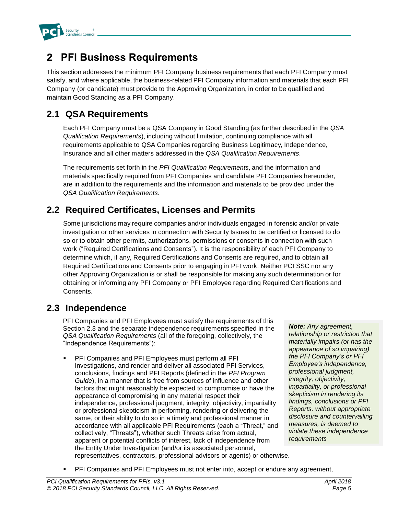

# <span id="page-7-0"></span>**2 PFI Business Requirements**

This section addresses the minimum PFI Company business requirements that each PFI Company must satisfy, and where applicable, the business-related PFI Company information and materials that each PFI Company (or candidate) must provide to the Approving Organization, in order to be qualified and maintain Good Standing as a PFI Company.

### <span id="page-7-1"></span>**2.1 QSA Requirements**

Each PFI Company must be a QSA Company in Good Standing (as further described in the *QSA Qualification Requirements*), including without limitation, continuing compliance with all requirements applicable to QSA Companies regarding Business Legitimacy, Independence, Insurance and all other matters addressed in the *QSA Qualification Requirements*.

The requirements set forth in the *PFI Qualification Requirements*, and the information and materials specifically required from PFI Companies and candidate PFI Companies hereunder, are in addition to the requirements and the information and materials to be provided under the *QSA Qualification Requirements*.

### <span id="page-7-2"></span>**2.2 Required Certificates, Licenses and Permits**

Some jurisdictions may require companies and/or individuals engaged in forensic and/or private investigation or other services in connection with Security Issues to be certified or licensed to do so or to obtain other permits, authorizations, permissions or consents in connection with such work ("Required Certifications and Consents"). It is the responsibility of each PFI Company to determine which, if any, Required Certifications and Consents are required, and to obtain all Required Certifications and Consents prior to engaging in PFI work. Neither PCI SSC nor any other Approving Organization is or shall be responsible for making any such determination or for obtaining or informing any PFI Company or PFI Employee regarding Required Certifications and Consents.

### <span id="page-7-3"></span>**2.3 Independence**

PFI Companies and PFI Employees must satisfy the requirements of this Section 2.3 and the separate independence requirements specified in the *QSA Qualification Requirements* (all of the foregoing, collectively, the "Independence Requirements"):

PFI Companies and PFI Employees must perform all PFI Investigations, and render and deliver all associated PFI Services, conclusions, findings and PFI Reports (defined in the *PFI Program Guide*), in a manner that is free from sources of influence and other factors that might reasonably be expected to compromise or have the appearance of compromising in any material respect their independence, professional judgment, integrity, objectivity, impartiality or professional skepticism in performing, rendering or delivering the same, or their ability to do so in a timely and professional manner in accordance with all applicable PFI Requirements (each a "Threat," and collectively, "Threats"), whether such Threats arise from actual, apparent or potential conflicts of interest, lack of independence from the Entity Under Investigation (and/or its associated personnel, representatives, contractors, professional advisors or agents) or otherwise.

*Note: Any agreement, relationship or restriction that materially impairs (or has the appearance of so impairing) the PFI Company's or PFI Employee's independence, professional judgment, integrity, objectivity, impartiality, or professional skepticism in rendering its findings, conclusions or PFI Reports, without appropriate disclosure and countervailing measures, is deemed to violate these independence requirements*

**PFI Companies and PFI Employees must not enter into, accept or endure any agreement,**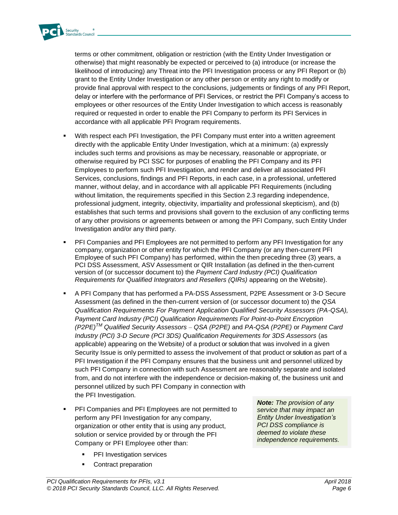

terms or other commitment, obligation or restriction (with the Entity Under Investigation or otherwise) that might reasonably be expected or perceived to (a) introduce (or increase the likelihood of introducing) any Threat into the PFI Investigation process or any PFI Report or (b) grant to the Entity Under Investigation or any other person or entity any right to modify or provide final approval with respect to the conclusions, judgements or findings of any PFI Report, delay or interfere with the performance of PFI Services, or restrict the PFI Company's access to employees or other resources of the Entity Under Investigation to which access is reasonably required or requested in order to enable the PFI Company to perform its PFI Services in accordance with all applicable PFI Program requirements.

- With respect each PFI Investigation, the PFI Company must enter into a written agreement directly with the applicable Entity Under Investigation, which at a minimum: (a) expressly includes such terms and provisions as may be necessary, reasonable or appropriate, or otherwise required by PCI SSC for purposes of enabling the PFI Company and its PFI Employees to perform such PFI Investigation, and render and deliver all associated PFI Services, conclusions, findings and PFI Reports, in each case, in a professional, unfettered manner, without delay, and in accordance with all applicable PFI Requirements (including without limitation, the requirements specified in this Section 2.3 regarding independence, professional judgment, integrity, objectivity, impartiality and professional skepticism), and (b) establishes that such terms and provisions shall govern to the exclusion of any conflicting terms of any other provisions or agreements between or among the PFI Company, such Entity Under Investigation and/or any third party.
- PFI Companies and PFI Employees are not permitted to perform any PFI Investigation for any company, organization or other entity for which the PFI Company (or any then-current PFI Employee of such PFI Company) has performed, within the then preceding three (3) years, a PCI DSS Assessment, ASV Assessment or QIR Installation (as defined in the then-current version of (or successor document to) the *Payment Card Industry (PCI) Qualification Requirements for Qualified Integrators and Resellers (QIRs)* appearing on the Website).
- A PFI Company that has performed a PA-DSS Assessment, P2PE Assessment or 3-D Secure Assessment (as defined in the then-current version of (or successor document to) the *QSA Qualification Requirements For Payment Application Qualified Security Assessors (PA-QSA), Payment Card Industry (PCI) Qualification Requirements For Point-to-Point Encryption (P2PE)TM Qualified Security Assessors – QSA (P2PE)* and *PA-QSA (P2PE)* or *Payment Card Industry (PCI) 3-D Secure (PCI 3DS) Qualification Requirements for 3DS Assessors* (as applicable) appearing on the Website*)* of a product or solution that was involved in a given Security Issue is only permitted to assess the involvement of that product or solution as part of a PFI Investigation if the PFI Company ensures that the business unit and personnel utilized by such PFI Company in connection with such Assessment are reasonably separate and isolated from, and do not interfere with the independence or decision-making of, the business unit and personnel utilized by such PFI Company in connection with the PFI Investigation.
- PFI Companies and PFI Employees are not permitted to perform any PFI Investigation for any company, organization or other entity that is using any product, solution or service provided by or through the PFI Company or PFI Employee other than:
	- **•** PFI Investigation services
	- Contract preparation

*Note: The provision of any service that may impact an Entity Under Investigation's PCI DSS compliance is deemed to violate these independence requirements.*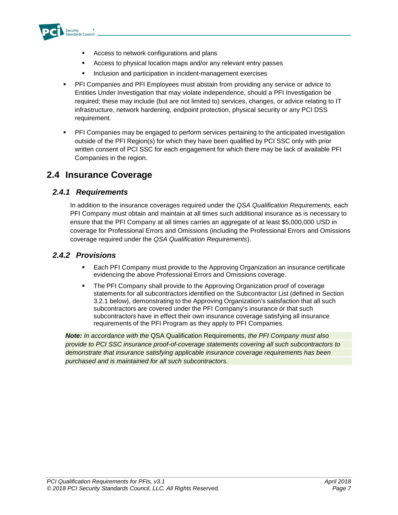

- Access to network configurations and plans
- Access to physical location maps and/or any relevant entry passes
- **EXEDENT** Inclusion and participation in incident-management exercises
- PFI Companies and PFI Employees must abstain from providing any service or advice to Entities Under Investigation that may violate independence, should a PFI Investigation be required; these may include (but are not limited to) services, changes, or advice relating to IT infrastructure, network hardening, endpoint protection, physical security or any PCI DSS requirement.
- PFI Companies may be engaged to perform services pertaining to the anticipated investigation outside of the PFI Region(s) for which they have been qualified by PCI SSC only with prior written consent of PCI SSC for each engagement for which there may be lack of available PFI Companies in the region.

### <span id="page-9-0"></span>**2.4 Insurance Coverage**

### *2.4.1 Requirements*

In addition to the insurance coverages required under the *QSA Qualification Requirements,* each PFI Company must obtain and maintain at all times such additional insurance as is necessary to ensure that the PFI Company at all times carries an aggregate of at least \$5,000,000 USD in coverage for Professional Errors and Omissions (including the Professional Errors and Omissions coverage required under the *QSA Qualification Requirements*).

### *2.4.2 Provisions*

- Each PFI Company must provide to the Approving Organization an insurance certificate evidencing the above Professional Errors and Omissions coverage.
- **The PFI Company shall provide to the Approving Organization proof of coverage** statements for all subcontractors identified on the Subcontractor List (defined in Section 3.2.1 below), demonstrating to the Approving Organization's satisfaction that all such subcontractors are covered under the PFI Company's insurance or that such subcontractors have in effect their own insurance coverage satisfying all insurance requirements of the PFI Program as they apply to PFI Companies.

*Note: In accordance with the* QSA Qualification Requirements, *the PFI Company must also provide to PCI SSC insurance proof-of-coverage statements covering all such subcontractors to demonstrate that insurance satisfying applicable insurance coverage requirements has been purchased and is maintained for all such subcontractors.*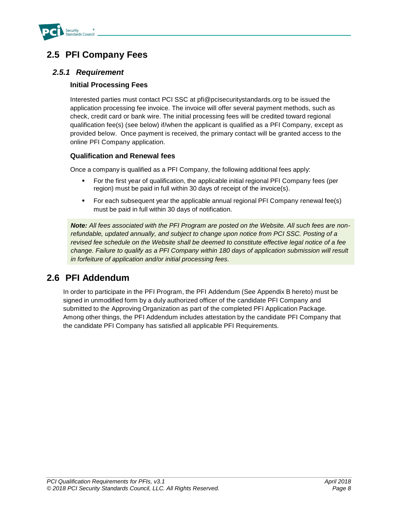

### <span id="page-10-0"></span>**2.5 PFI Company Fees**

### *2.5.1 Requirement*

#### **Initial Processing Fees**

Interested parties must contact PCI SSC at pfi@pcisecuritystandards.org to be issued the application processing fee invoice. The invoice will offer several payment methods, such as check, credit card or bank wire. The initial processing fees will be credited toward regional qualification fee(s) (see below) if/when the applicant is qualified as a PFI Company, except as provided below. Once payment is received, the primary contact will be granted access to the online PFI Company application.

#### **Qualification and Renewal fees**

Once a company is qualified as a PFI Company, the following additional fees apply:

- For the first year of qualification, the applicable initial regional PFI Company fees (per region) must be paid in full within 30 days of receipt of the invoice(s).
- For each subsequent year the applicable annual regional PFI Company renewal fee(s) must be paid in full within 30 days of notification.

*Note: All fees associated with the PFI Program are posted on the Website. All such fees are nonrefundable, updated annually, and subject to change upon notice from PCI SSC. Posting of a revised fee schedule on the Website shall be deemed to constitute effective legal notice of a fee change. Failure to qualify as a PFI Company within 180 days of application submission will result in forfeiture of application and/or initial processing fees.*

### <span id="page-10-1"></span>**2.6 PFI Addendum**

In order to participate in the PFI Program, the PFI Addendum (See Appendix B hereto) must be signed in unmodified form by a duly authorized officer of the candidate PFI Company and submitted to the Approving Organization as part of the completed PFI Application Package. Among other things, the PFI Addendum includes attestation by the candidate PFI Company that the candidate PFI Company has satisfied all applicable PFI Requirements.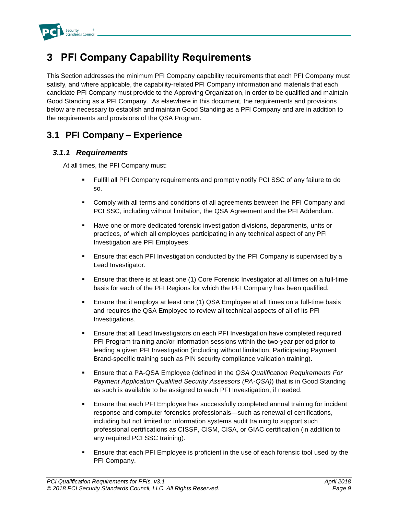

# <span id="page-11-0"></span>**3 PFI Company Capability Requirements**

This Section addresses the minimum PFI Company capability requirements that each PFI Company must satisfy, and where applicable, the capability-related PFI Company information and materials that each candidate PFI Company must provide to the Approving Organization, in order to be qualified and maintain Good Standing as a PFI Company. As elsewhere in this document, the requirements and provisions below are necessary to establish and maintain Good Standing as a PFI Company and are in addition to the requirements and provisions of the QSA Program.

### <span id="page-11-1"></span>**3.1 PFI Company – Experience**

### *3.1.1 Requirements*

At all times, the PFI Company must:

- Fulfill all PFI Company requirements and promptly notify PCI SSC of any failure to do so.
- Comply with all terms and conditions of all agreements between the PFI Company and PCI SSC, including without limitation, the QSA Agreement and the PFI Addendum.
- **EXECT** Have one or more dedicated forensic investigation divisions, departments, units or practices, of which all employees participating in any technical aspect of any PFI Investigation are PFI Employees.
- **Ensure that each PFI Investigation conducted by the PFI Company is supervised by a** Lead Investigator.
- **Ensure that there is at least one (1) Core Forensic Investigator at all times on a full-time** basis for each of the PFI Regions for which the PFI Company has been qualified.
- **E** Ensure that it employs at least one (1) QSA Employee at all times on a full-time basis and requires the QSA Employee to review all technical aspects of all of its PFI Investigations.
- **E** Ensure that all Lead Investigators on each PFI Investigation have completed required PFI Program training and/or information sessions within the two-year period prior to leading a given PFI Investigation (including without limitation, Participating Payment Brand-specific training such as PIN security compliance validation training).
- Ensure that a PA-QSA Employee (defined in the *QSA Qualification Requirements For Payment Application Qualified Security Assessors (PA-QSA)*) that is in Good Standing as such is available to be assigned to each PFI Investigation, if needed.
- **Ensure that each PFI Employee has successfully completed annual training for incident** response and computer forensics professionals—such as renewal of certifications, including but not limited to: information systems audit training to support such professional certifications as CISSP, CISM, CISA, or GIAC certification (in addition to any required PCI SSC training).
- Ensure that each PFI Employee is proficient in the use of each forensic tool used by the PFI Company.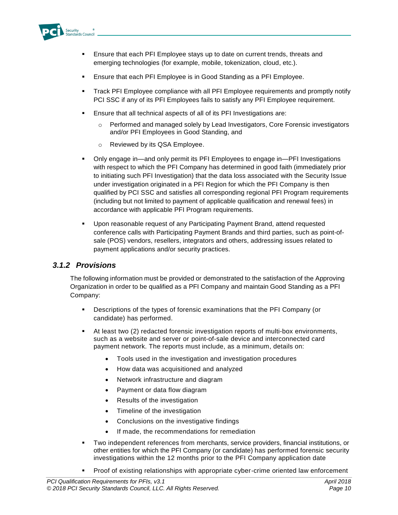

- Ensure that each PFI Employee stays up to date on current trends, threats and emerging technologies (for example, mobile, tokenization, cloud, etc.).
- Ensure that each PFI Employee is in Good Standing as a PFI Employee.
- **Track PFI Employee compliance with all PFI Employee requirements and promptly notify** PCI SSC if any of its PFI Employees fails to satisfy any PFI Employee requirement.
- Ensure that all technical aspects of all of its PFI Investigations are:
	- o Performed and managed solely by Lead Investigators, Core Forensic investigators and/or PFI Employees in Good Standing, and
	- o Reviewed by its QSA Employee.
- Only engage in—and only permit its PFI Employees to engage in—PFI Investigations with respect to which the PFI Company has determined in good faith (immediately prior to initiating such PFI Investigation) that the data loss associated with the Security Issue under investigation originated in a PFI Region for which the PFI Company is then qualified by PCI SSC and satisfies all corresponding regional PFI Program requirements (including but not limited to payment of applicable qualification and renewal fees) in accordance with applicable PFI Program requirements.
- Upon reasonable request of any Participating Payment Brand, attend requested conference calls with Participating Payment Brands and third parties, such as point-ofsale (POS) vendors, resellers, integrators and others, addressing issues related to payment applications and/or security practices.

#### *3.1.2 Provisions*

The following information must be provided or demonstrated to the satisfaction of the Approving Organization in order to be qualified as a PFI Company and maintain Good Standing as a PFI Company:

- Descriptions of the types of forensic examinations that the PFI Company (or candidate) has performed.
- At least two (2) redacted forensic investigation reports of multi-box environments, such as a website and server or point-of-sale device and interconnected card payment network. The reports must include, as a minimum, details on:
	- Tools used in the investigation and investigation procedures
	- How data was acquisitioned and analyzed
	- Network infrastructure and diagram
	- Payment or data flow diagram
	- Results of the investigation
	- Timeline of the investigation
	- Conclusions on the investigative findings
	- If made, the recommendations for remediation
- Two independent references from merchants, service providers, financial institutions, or other entities for which the PFI Company (or candidate) has performed forensic security investigations within the 12 months prior to the PFI Company application date
- Proof of existing relationships with appropriate cyber-crime oriented law enforcement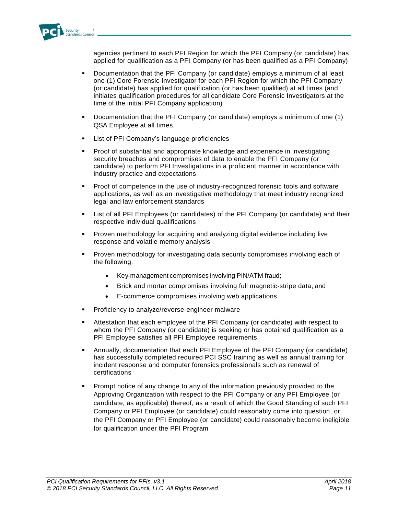

agencies pertinent to each PFI Region for which the PFI Company (or candidate) has applied for qualification as a PFI Company (or has been qualified as a PFI Company)

- Documentation that the PFI Company (or candidate) employs a minimum of at least one (1) Core Forensic Investigator for each PFI Region for which the PFI Company (or candidate) has applied for qualification (or has been qualified) at all times (and initiates qualification procedures for all candidate Core Forensic Investigators at the time of the initial PFI Company application)
- Documentation that the PFI Company (or candidate) employs a minimum of one (1) QSA Employee at all times.
- List of PFI Company's language proficiencies
- Proof of substantial and appropriate knowledge and experience in investigating security breaches and compromises of data to enable the PFI Company (or candidate) to perform PFI Investigations in a proficient manner in accordance with industry practice and expectations
- Proof of competence in the use of industry-recognized forensic tools and software applications, as well as an investigative methodology that meet industry recognized legal and law enforcement standards
- **EXECT** List of all PFI Employees (or candidates) of the PFI Company (or candidate) and their respective individual qualifications
- **•** Proven methodology for acquiring and analyzing digital evidence including live response and volatile memory analysis
- Proven methodology for investigating data security compromises involving each of the following:
	- Key-management compromises involving PIN/ATM fraud;
	- Brick and mortar compromises involving full magnetic-stripe data; and
	- E-commerce compromises involving web applications
- Proficiency to analyze/reverse-engineer malware
- Attestation that each employee of the PFI Company (or candidate) with respect to whom the PFI Company (or candidate) is seeking or has obtained qualification as a PFI Employee satisfies all PFI Employee requirements
- Annually, documentation that each PFI Employee of the PFI Company (or candidate) has successfully completed required PCI SSC training as well as annual training for incident response and computer forensics professionals such as renewal of certifications
- Prompt notice of any change to any of the information previously provided to the Approving Organization with respect to the PFI Company or any PFI Employee (or candidate, as applicable) thereof, as a result of which the Good Standing of such PFI Company or PFI Employee (or candidate) could reasonably come into question, or the PFI Company or PFI Employee (or candidate) could reasonably become ineligible for qualification under the PFI Program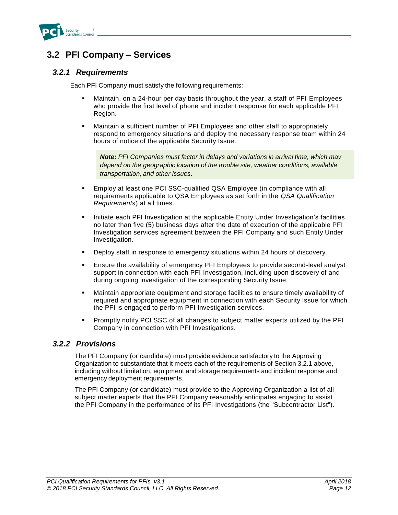

### <span id="page-14-0"></span>**3.2 PFI Company – Services**

#### *3.2.1 Requirements*

Each PFI Company must satisfy the following requirements:

- Maintain, on a 24-hour per day basis throughout the year, a staff of PFI Employees who provide the first level of phone and incident response for each applicable PFI Region.
- **■** Maintain a sufficient number of PFI Employees and other staff to appropriately respond to emergency situations and deploy the necessary response team within 24 hours of notice of the applicable Security Issue.

*Note: PFI Companies must factor in delays and variations in arrival time, which may depend on the geographic location of the trouble site, weather conditions, available transportation, and other issues.*

- **Employ at least one PCI SSC-qualified QSA Employee (in compliance with all** requirements applicable to QSA Employees as set forth in the *QSA Qualification Requirements*) at all times.
- **E** Initiate each PFI Investigation at the applicable Entity Under Investigation's facilities no later than five (5) business days after the date of execution of the applicable PFI Investigation services agreement between the PFI Company and such Entity Under Investigation.
- **•** Deploy staff in response to emergency situations within 24 hours of discovery.
- **Ensure the availability of emergency PFI Employees to provide second-level analyst** support in connection with each PFI Investigation, including upon discovery of and during ongoing investigation of the corresponding Security Issue.
- **■** Maintain appropriate equipment and storage facilities to ensure timely availability of required and appropriate equipment in connection with each Security Issue for which the PFI is engaged to perform PFI Investigation services.
- Promptly notify PCI SSC of all changes to subject matter experts utilized by the PFI Company in connection with PFI Investigations.

### *3.2.2 Provisions*

The PFI Company (or candidate) must provide evidence satisfactory to the Approving Organization to substantiate that it meets each of the requirements of Section 3.2.1 above, including without limitation, equipment and storage requirements and incident response and emergency deployment requirements.

The PFI Company (or candidate) must provide to the Approving Organization a list of all subject matter experts that the PFI Company reasonably anticipates engaging to assist the PFI Company in the performance of its PFI Investigations (the "Subcontractor List").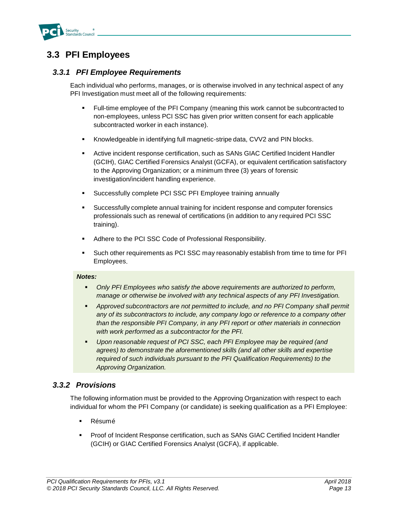

### <span id="page-15-0"></span>**3.3 PFI Employees**

#### *3.3.1 PFI Employee Requirements*

Each individual who performs, manages, or is otherwise involved in any technical aspect of any PFI Investigation must meet all of the following requirements:

- Full-time employee of the PFI Company (meaning this work cannot be subcontracted to non-employees, unless PCI SSC has given prior written consent for each applicable subcontracted worker in each instance).
- Knowledgeable in identifying full magnetic-stripe data, CVV2 and PIN blocks.
- **EXECT** Active incident response certification, such as SANs GIAC Certified Incident Handler (GCIH), GIAC Certified Forensics Analyst (GCFA), or equivalent certification satisfactory to the Approving Organization; or a minimum three (3) years of forensic investigation/incident handling experience.
- Successfully complete PCI SSC PFI Employee training annually
- Successfully complete annual training for incident response and computer forensics professionals such as renewal of certifications (in addition to any required PCI SSC training).
- Adhere to the PCI SSC Code of Professional Responsibility.
- Such other requirements as PCI SSC may reasonably establish from time to time for PFI Employees.

#### *Notes:*

- *Only PFI Employees who satisfy the above requirements are authorized to perform, manage or otherwise be involved with any technical aspects of any PFI Investigation.*
- *Approved subcontractors are not permitted to include, and no PFI Company shall permit any of its subcontractors to include, any company logo or reference to a company other than the responsible PFI Company, in any PFI report or other materials in connection with work performed as a subcontractor for the PFI.*
- *Upon reasonable request of PCI SSC, each PFI Employee may be required (and agrees) to demonstrate the aforementioned skills (and all other skills and expertise required of such individuals pursuant to the PFI Qualification Requirements) to the Approving Organization.*

### *3.3.2 Provisions*

The following information must be provided to the Approving Organization with respect to each individual for whom the PFI Company (or candidate) is seeking qualification as a PFI Employee:

- **Résumé**
- Proof of Incident Response certification, such as SANs GIAC Certified Incident Handler (GCIH) or GIAC Certified Forensics Analyst (GCFA), if applicable.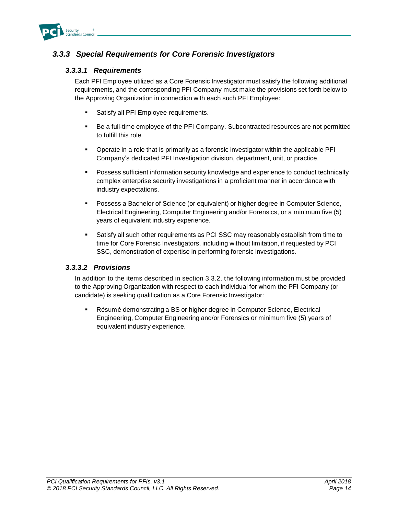

### *3.3.3 Special Requirements for Core Forensic Investigators*

#### *3.3.3.1 Requirements*

Each PFI Employee utilized as a Core Forensic Investigator must satisfy the following additional requirements, and the corresponding PFI Company must make the provisions set forth below to the Approving Organization in connection with each such PFI Employee:

- Satisfy all PFI Employee requirements.
- Be a full-time employee of the PFI Company. Subcontracted resources are not permitted to fulfill this role.
- Operate in a role that is primarily as a forensic investigator within the applicable PFI Company's dedicated PFI Investigation division, department, unit, or practice.
- **Possess sufficient information security knowledge and experience to conduct technically** complex enterprise security investigations in a proficient manner in accordance with industry expectations.
- **Possess a Bachelor of Science (or equivalent) or higher degree in Computer Science,** Electrical Engineering, Computer Engineering and/or Forensics, or a minimum five (5) years of equivalent industry experience.
- Satisfy all such other requirements as PCI SSC may reasonably establish from time to time for Core Forensic Investigators, including without limitation, if requested by PCI SSC, demonstration of expertise in performing forensic investigations.

#### *3.3.3.2 Provisions*

In addition to the items described in section 3.3.2, the following information must be provided to the Approving Organization with respect to each individual for whom the PFI Company (or candidate) is seeking qualification as a Core Forensic Investigator:

Résumé demonstrating a BS or higher degree in Computer Science, Electrical Engineering, Computer Engineering and/or Forensics or minimum five (5) years of equivalent industry experience.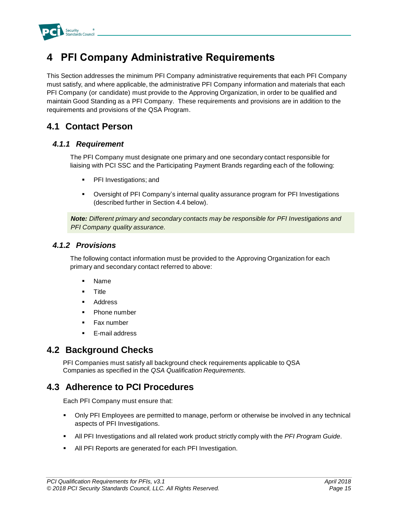

# <span id="page-17-0"></span>**4 PFI Company Administrative Requirements**

This Section addresses the minimum PFI Company administrative requirements that each PFI Company must satisfy, and where applicable, the administrative PFI Company information and materials that each PFI Company (or candidate) must provide to the Approving Organization, in order to be qualified and maintain Good Standing as a PFI Company. These requirements and provisions are in addition to the requirements and provisions of the QSA Program.

### <span id="page-17-1"></span>**4.1 Contact Person**

### *4.1.1 Requirement*

The PFI Company must designate one primary and one secondary contact responsible for liaising with PCI SSC and the Participating Payment Brands regarding each of the following:

- PFI Investigations; and
- Oversight of PFI Company's internal quality assurance program for PFI Investigations (described further in Section 4.4 below).

*Note: Different primary and secondary contacts may be responsible for PFI Investigations and PFI Company quality assurance.*

#### *4.1.2 Provisions*

The following contact information must be provided to the Approving Organization for each primary and secondary contact referred to above:

- Name
- Title
- Address
- Phone number
- Fax number
- E-mail address

### <span id="page-17-2"></span>**4.2 Background Checks**

PFI Companies must satisfy all background check requirements applicable to QSA Companies as specified in the *QSA Qualification Requirements.*

### <span id="page-17-3"></span>**4.3 Adherence to PCI Procedures**

Each PFI Company must ensure that:

- Only PFI Employees are permitted to manage, perform or otherwise be involved in any technical aspects of PFI Investigations.
- **EXECT All PFI Investigations and all related work product strictly comply with the PFI Program Guide.**
- All PFI Reports are generated for each PFI Investigation.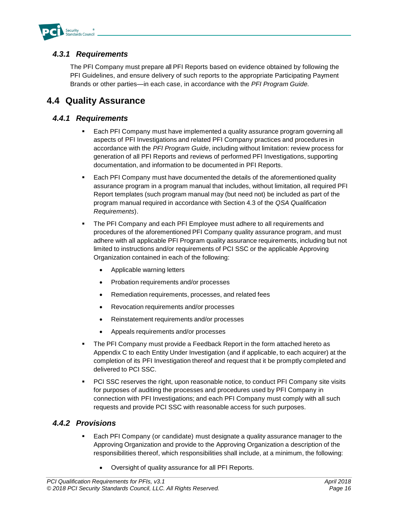

### *4.3.1 Requirements*

The PFI Company must prepare all PFI Reports based on evidence obtained by following the PFI Guidelines, and ensure delivery of such reports to the appropriate Participating Payment Brands or other parties—in each case, in accordance with the *PFI Program Guide.*

### <span id="page-18-0"></span>**4.4 Quality Assurance**

### *4.4.1 Requirements*

- Each PFI Company must have implemented a quality assurance program governing all aspects of PFI Investigations and related PFI Company practices and procedures in accordance with the *PFI Program Guide*, including without limitation: review process for generation of all PFI Reports and reviews of performed PFI Investigations, supporting documentation, and information to be documented in PFI Reports.
- Each PFI Company must have documented the details of the aforementioned quality assurance program in a program manual that includes, without limitation, all required PFI Report templates (such program manual may (but need not) be included as part of the program manual required in accordance with Section 4.3 of the *QSA Qualification Requirements*).
- **The PFI Company and each PFI Employee must adhere to all requirements and** procedures of the aforementioned PFI Company quality assurance program, and must adhere with all applicable PFI Program quality assurance requirements, including but not limited to instructions and/or requirements of PCI SSC or the applicable Approving Organization contained in each of the following:
	- Applicable warning letters
	- Probation requirements and/or processes
	- Remediation requirements, processes, and related fees
	- Revocation requirements and/or processes
	- Reinstatement requirements and/or processes
	- Appeals requirements and/or processes
- **The PFI Company must provide a Feedback Report in the form attached hereto as** Appendix C to each Entity Under Investigation (and if applicable, to each acquirer) at the completion of its PFI Investigation thereof and request that it be promptly completed and delivered to PCI SSC.
- **PCI SSC reserves the right, upon reasonable notice, to conduct PFI Company site visits** for purposes of auditing the processes and procedures used by PFI Company in connection with PFI Investigations; and each PFI Company must comply with all such requests and provide PCI SSC with reasonable access for such purposes.

### *4.4.2 Provisions*

- Each PFI Company (or candidate) must designate a quality assurance manager to the Approving Organization and provide to the Approving Organization a description of the responsibilities thereof, which responsibilities shall include, at a minimum, the following:
	- Oversight of quality assurance for all PFI Reports.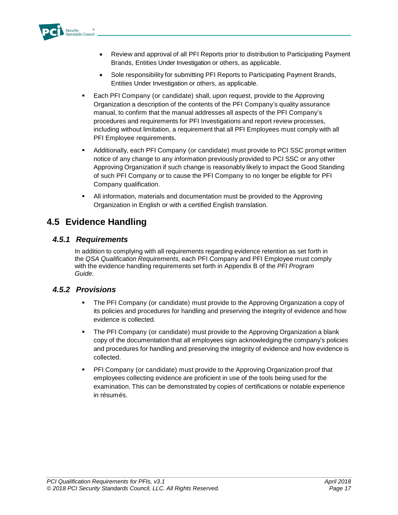

- Review and approval of all PFI Reports prior to distribution to Participating Payment Brands, Entities Under Investigation or others, as applicable.
- Sole responsibility for submitting PFI Reports to Participating Payment Brands, Entities Under Investigation or others, as applicable.
- Each PFI Company (or candidate) shall, upon request, provide to the Approving Organization a description of the contents of the PFI Company's quality assurance manual, to confirm that the manual addresses all aspects of the PFI Company's procedures and requirements for PFI Investigations and report review processes, including without limitation, a requirement that all PFI Employees must comply with all PFI Employee requirements.
- Additionally, each PFI Company (or candidate) must provide to PCI SSC prompt written notice of any change to any information previously provided to PCI SSC or any other Approving Organization if such change is reasonably likely to impact the Good Standing of such PFI Company or to cause the PFI Company to no longer be eligible for PFI Company qualification.
- **EXTEN II** information, materials and documentation must be provided to the Approving Organization in English or with a certified English translation.

### <span id="page-19-0"></span>**4.5 Evidence Handling**

### *4.5.1 Requirements*

In addition to complying with all requirements regarding evidence retention as set forth in the *QSA Qualification Requirements,* each PFI Company and PFI Employee must comply with the evidence handling requirements set forth in Appendix B of the *PFI Program Guide*.

### *4.5.2 Provisions*

- **The PFI Company (or candidate) must provide to the Approving Organization a copy of** its policies and procedures for handling and preserving the integrity of evidence and how evidence is collected.
- **•** The PFI Company (or candidate) must provide to the Approving Organization a blank copy of the documentation that all employees sign acknowledging the company's policies and procedures for handling and preserving the integrity of evidence and how evidence is collected.
- PFI Company (or candidate) must provide to the Approving Organization proof that employees collecting evidence are proficient in use of the tools being used for the examination. This can be demonstrated by copies of certifications or notable experience in résumés.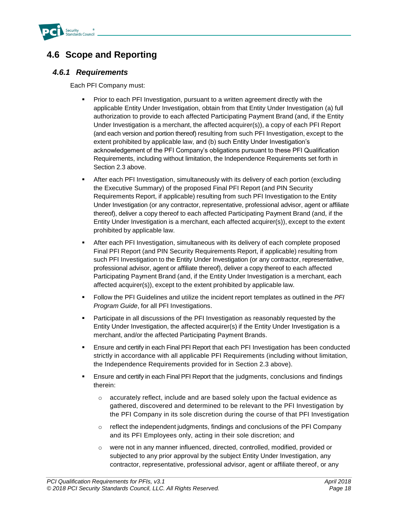

### <span id="page-20-0"></span>**4.6 Scope and Reporting**

#### *4.6.1 Requirements*

Each PFI Company must:

- Prior to each PFI Investigation, pursuant to a written agreement directly with the applicable Entity Under Investigation, obtain from that Entity Under Investigation (a) full authorization to provide to each affected Participating Payment Brand (and, if the Entity Under Investigation is a merchant, the affected acquirer(s)), a copy of each PFI Report (and each version and portion thereof) resulting from such PFI Investigation, except to the extent prohibited by applicable law, and (b) such Entity Under Investigation's acknowledgement of the PFI Company's obligations pursuant to these PFI Qualification Requirements, including without limitation, the Independence Requirements set forth in Section 2.3 above.
- After each PFI Investigation, simultaneously with its delivery of each portion (excluding the Executive Summary) of the proposed Final PFI Report (and PIN Security Requirements Report, if applicable) resulting from such PFI Investigation to the Entity Under Investigation (or any contractor, representative, professional advisor, agent or affiliate thereof), deliver a copy thereof to each affected Participating Payment Brand (and, if the Entity Under Investigation is a merchant, each affected acquirer(s)), except to the extent prohibited by applicable law.
- **EXECT After each PFI Investigation, simultaneous with its delivery of each complete proposed** Final PFI Report (and PIN Security Requirements Report, if applicable) resulting from such PFI Investigation to the Entity Under Investigation (or any contractor, representative, professional advisor, agent or affiliate thereof), deliver a copy thereof to each affected Participating Payment Brand (and, if the Entity Under Investigation is a merchant, each affected acquirer(s)), except to the extent prohibited by applicable law.
- Follow the PFI Guidelines and utilize the incident report templates as outlined in the *PFI Program Guide*, for all PFI Investigations.
- **•** Participate in all discussions of the PFI Investigation as reasonably requested by the Entity Under Investigation, the affected acquirer(s) if the Entity Under Investigation is a merchant, and/or the affected Participating Payment Brands.
- **E** Ensure and certify in each Final PFI Report that each PFI Investigation has been conducted strictly in accordance with all applicable PFI Requirements (including without limitation, the Independence Requirements provided for in Section 2.3 above).
- Ensure and certify in each Final PFI Report that the judgments, conclusions and findings therein:
	- $\circ$  accurately reflect, include and are based solely upon the factual evidence as gathered, discovered and determined to be relevant to the PFI Investigation by the PFI Company in its sole discretion during the course of that PFI Investigation
	- $\circ$  reflect the independent judgments, findings and conclusions of the PFI Company and its PFI Employees only, acting in their sole discretion; and
	- o were not in any manner influenced, directed, controlled, modified, provided or subjected to any prior approval by the subject Entity Under Investigation, any contractor, representative, professional advisor, agent or affiliate thereof, or any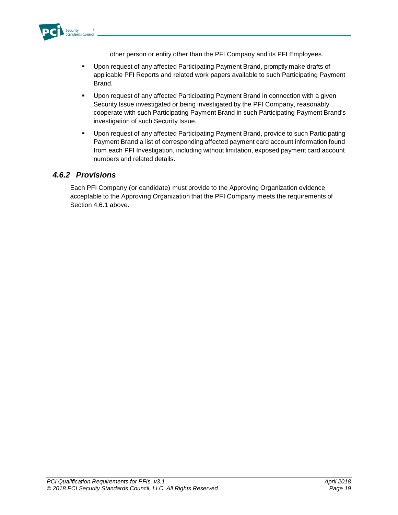

other person or entity other than the PFI Company and its PFI Employees.

- Upon request of any affected Participating Payment Brand, promptly make drafts of applicable PFI Reports and related work papers available to such Participating Payment Brand.
- Upon request of any affected Participating Payment Brand in connection with a given Security Issue investigated or being investigated by the PFI Company, reasonably cooperate with such Participating Payment Brand in such Participating Payment Brand's investigation of such Security Issue.
- Upon request of any affected Participating Payment Brand, provide to such Participating Payment Brand a list of corresponding affected payment card account information found from each PFI Investigation, including without limitation, exposed payment card account numbers and related details.

### *4.6.2 Provisions*

Each PFI Company (or candidate) must provide to the Approving Organization evidence acceptable to the Approving Organization that the PFI Company meets the requirements of Section 4.6.1 above.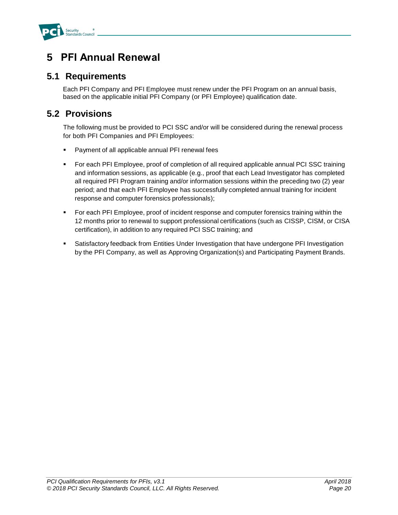

# <span id="page-22-0"></span>**5 PFI Annual Renewal**

### <span id="page-22-1"></span>**5.1 Requirements**

Each PFI Company and PFI Employee must renew under the PFI Program on an annual basis, based on the applicable initial PFI Company (or PFI Employee) qualification date.

### <span id="page-22-2"></span>**5.2 Provisions**

The following must be provided to PCI SSC and/or will be considered during the renewal process for both PFI Companies and PFI Employees:

- Payment of all applicable annual PFI renewal fees
- For each PFI Employee, proof of completion of all required applicable annual PCI SSC training and information sessions, as applicable (e.g., proof that each Lead Investigator has completed all required PFI Program training and/or information sessions within the preceding two (2) year period; and that each PFI Employee has successfully completed annual training for incident response and computer forensics professionals);
- For each PFI Employee, proof of incident response and computer forensics training within the 12 months prior to renewal to support professional certifications (such as CISSP, CISM, or CISA certification), in addition to any required PCI SSC training; and
- Satisfactory feedback from Entities Under Investigation that have undergone PFI Investigation by the PFI Company, as well as Approving Organization(s) and Participating Payment Brands.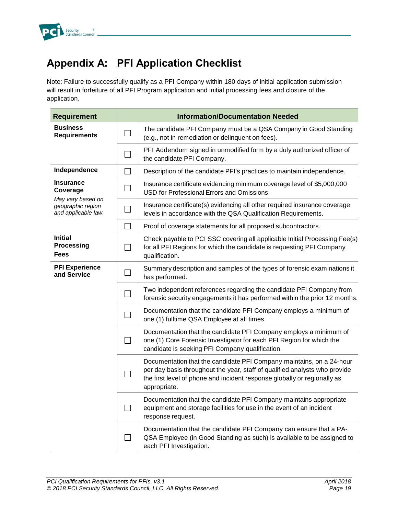

# <span id="page-23-0"></span>**Appendix A: PFI Application Checklist**

Note: Failure to successfully qualify as a PFI Company within 180 days of initial application submission will result in forfeiture of all PFI Program application and initial processing fees and closure of the application.

| <b>Requirement</b>                                            | <b>Information/Documentation Needed</b> |                                                                                                                                                                                                                                                |  |  |
|---------------------------------------------------------------|-----------------------------------------|------------------------------------------------------------------------------------------------------------------------------------------------------------------------------------------------------------------------------------------------|--|--|
| <b>Business</b><br><b>Requirements</b>                        |                                         | The candidate PFI Company must be a QSA Company in Good Standing<br>(e.g., not in remediation or delinquent on fees).                                                                                                                          |  |  |
|                                                               |                                         | PFI Addendum signed in unmodified form by a duly authorized officer of<br>the candidate PFI Company.                                                                                                                                           |  |  |
| Independence                                                  |                                         | Description of the candidate PFI's practices to maintain independence.                                                                                                                                                                         |  |  |
| Insurance<br>Coverage                                         |                                         | Insurance certificate evidencing minimum coverage level of \$5,000,000<br>USD for Professional Errors and Omissions.                                                                                                                           |  |  |
| May vary based on<br>geographic region<br>and applicable law. |                                         | Insurance certificate(s) evidencing all other required insurance coverage<br>levels in accordance with the QSA Qualification Requirements.                                                                                                     |  |  |
|                                                               |                                         | Proof of coverage statements for all proposed subcontractors.                                                                                                                                                                                  |  |  |
| <b>Initial</b><br><b>Processing</b><br><b>Fees</b>            |                                         | Check payable to PCI SSC covering all applicable Initial Processing Fee(s)<br>for all PFI Regions for which the candidate is requesting PFI Company<br>qualification.                                                                          |  |  |
| <b>PFI Experience</b><br>and Service                          |                                         | Summary description and samples of the types of forensic examinations it<br>has performed.                                                                                                                                                     |  |  |
|                                                               |                                         | Two independent references regarding the candidate PFI Company from<br>forensic security engagements it has performed within the prior 12 months.                                                                                              |  |  |
|                                                               |                                         | Documentation that the candidate PFI Company employs a minimum of<br>one (1) fulltime QSA Employee at all times.                                                                                                                               |  |  |
|                                                               |                                         | Documentation that the candidate PFI Company employs a minimum of<br>one (1) Core Forensic Investigator for each PFI Region for which the<br>candidate is seeking PFI Company qualification.                                                   |  |  |
|                                                               |                                         | Documentation that the candidate PFI Company maintains, on a 24-hour<br>per day basis throughout the year, staff of qualified analysts who provide<br>the first level of phone and incident response globally or regionally as<br>appropriate. |  |  |
|                                                               |                                         | Documentation that the candidate PFI Company maintains appropriate<br>equipment and storage facilities for use in the event of an incident<br>response request.                                                                                |  |  |
|                                                               |                                         | Documentation that the candidate PFI Company can ensure that a PA-<br>QSA Employee (in Good Standing as such) is available to be assigned to<br>each PFI Investigation.                                                                        |  |  |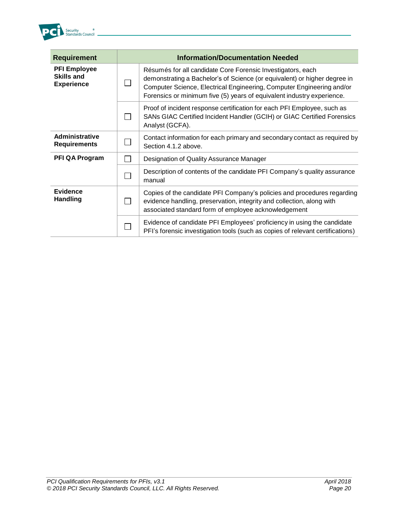

| <b>Requirement</b>                                            | <b>Information/Documentation Needed</b> |                                                                                                                                                                                                                                                                                             |  |
|---------------------------------------------------------------|-----------------------------------------|---------------------------------------------------------------------------------------------------------------------------------------------------------------------------------------------------------------------------------------------------------------------------------------------|--|
| <b>PFI Employee</b><br><b>Skills and</b><br><b>Experience</b> |                                         | Résumés for all candidate Core Forensic Investigators, each<br>demonstrating a Bachelor's of Science (or equivalent) or higher degree in<br>Computer Science, Electrical Engineering, Computer Engineering and/or<br>Forensics or minimum five (5) years of equivalent industry experience. |  |
|                                                               |                                         | Proof of incident response certification for each PFI Employee, such as<br>SANs GIAC Certified Incident Handler (GCIH) or GIAC Certified Forensics<br>Analyst (GCFA).                                                                                                                       |  |
| <b>Administrative</b><br><b>Requirements</b>                  |                                         | Contact information for each primary and secondary contact as required by<br>Section 4.1.2 above.                                                                                                                                                                                           |  |
| <b>PFI QA Program</b>                                         |                                         | Designation of Quality Assurance Manager                                                                                                                                                                                                                                                    |  |
|                                                               |                                         | Description of contents of the candidate PFI Company's quality assurance<br>manual                                                                                                                                                                                                          |  |
| <b>Evidence</b><br><b>Handling</b>                            |                                         | Copies of the candidate PFI Company's policies and procedures regarding<br>evidence handling, preservation, integrity and collection, along with<br>associated standard form of employee acknowledgement                                                                                    |  |
|                                                               |                                         | Evidence of candidate PFI Employees' proficiency in using the candidate<br>PFI's forensic investigation tools (such as copies of relevant certifications)                                                                                                                                   |  |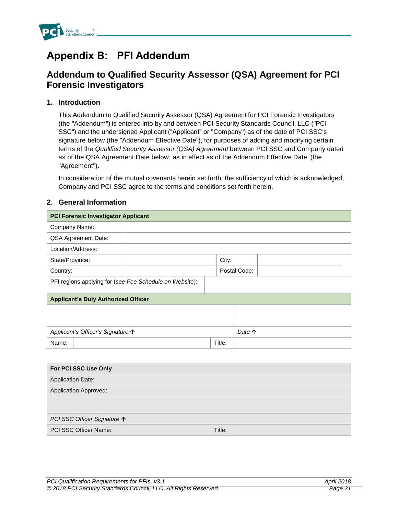

# <span id="page-25-0"></span>**Appendix B: PFI Addendum**

### **Addendum to Qualified Security Assessor (QSA) Agreement for PCI Forensic Investigators**

#### **1. Introduction**

This Addendum to Qualified Security Assessor (QSA) Agreement for PCI Forensic Investigators (the "Addendum") is entered into by and between PCI Security Standards Council, LLC ("PCI SSC") and the undersigned Applicant ("Applicant" or "Company") as of the date of PCI SSC's signature below (the "Addendum Effective Date"), for purposes of adding and modifying certain terms of the *Qualified Security Assessor (QSA) Agreement* between PCI SSC and Company dated as of the QSA Agreement Date below, as in effect as of the Addendum Effective Date (the "Agreement").

In consideration of the mutual covenants herein set forth, the sufficiency of which is acknowledged, Company and PCI SSC agree to the terms and conditions set forth herein.

#### **2. General Information**

| <b>PCI Forensic Investigator Applicant</b>              |  |        |              |
|---------------------------------------------------------|--|--------|--------------|
| Company Name:                                           |  |        |              |
| QSA Agreement Date:                                     |  |        |              |
| Location/Address:                                       |  |        |              |
| State/Province:                                         |  | City:  |              |
| Country:                                                |  |        | Postal Code: |
| PFI regions applying for (see Fee Schedule on Website): |  |        |              |
| <b>Applicant's Duly Authorized Officer</b>              |  |        |              |
|                                                         |  |        |              |
|                                                         |  |        |              |
| Applicant's Officer's Signature $\uparrow$<br>Date 个    |  |        |              |
| Name:                                                   |  | Title: |              |
|                                                         |  |        |              |
| For PCI SSC Use Only                                    |  |        |              |
| <b>Application Date:</b>                                |  |        |              |
| <b>Application Approved:</b>                            |  |        |              |
|                                                         |  |        |              |

| PCI SSC Officer Signature ↑ |        |  |
|-----------------------------|--------|--|
| PCI SSC Officer Name:       | Title: |  |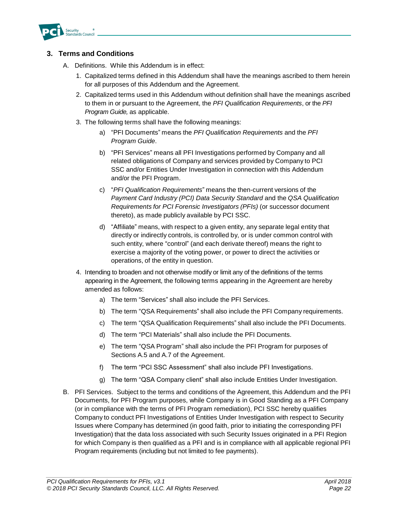

#### **3. Terms and Conditions**

- A. Definitions. While this Addendum is in effect:
	- 1. Capitalized terms defined in this Addendum shall have the meanings ascribed to them herein for all purposes of this Addendum and the Agreement.
	- 2. Capitalized terms used in this Addendum without definition shall have the meanings ascribed to them in or pursuant to the Agreement, the *PFI Qualification Requirements*, or the *PFI Program Guide,* as applicable.
	- 3. The following terms shall have the following meanings:
		- a) "PFI Documents" means the *PFI Qualification Requirements* and the *PFI Program Guide*.
		- b) "PFI Services" means all PFI Investigations performed by Company and all related obligations of Company and services provided by Company to PCI SSC and/or Entities Under Investigation in connection with this Addendum and/or the PFI Program.
		- c) "*PFI Qualification Requirements*" means the then-current versions of the *Payment Card Industry (PCI) Data Security Standard* and the *QSA Qualification Requirements for PCI Forensic Investigators (PFIs)* (or successor document thereto), as made publicly available by PCI SSC.
		- d) "Affiliate" means, with respect to a given entity, any separate legal entity that directly or indirectly controls, is controlled by, or is under common control with such entity, where "control" (and each derivate thereof) means the right to exercise a majority of the voting power, or power to direct the activities or operations, of the entity in question.
	- 4. Intending to broaden and not otherwise modify or limit any of the definitions of the terms appearing in the Agreement, the following terms appearing in the Agreement are hereby amended as follows:
		- a) The term "Services" shall also include the PFI Services.
		- b) The term "QSA Requirements" shall also include the PFI Company requirements.
		- c) The term "QSA Qualification Requirements" shall also include the PFI Documents.
		- d) The term "PCI Materials" shall also include the PFI Documents.
		- e) The term "QSA Program" shall also include the PFI Program for purposes of Sections A.5 and A.7 of the Agreement.
		- f) The term "PCI SSC Assessment" shall also include PFI Investigations.
		- g) The term "QSA Company client" shall also include Entities Under Investigation.
- B. PFI Services. Subject to the terms and conditions of the Agreement, this Addendum and the PFI Documents, for PFI Program purposes, while Company is in Good Standing as a PFI Company (or in compliance with the terms of PFI Program remediation), PCI SSC hereby qualifies Company to conduct PFI Investigations of Entities Under Investigation with respect to Security Issues where Company has determined (in good faith, prior to initiating the corresponding PFI Investigation) that the data loss associated with such Security Issues originated in a PFI Region for which Company is then qualified as a PFI and is in compliance with all applicable regional PFI Program requirements (including but not limited to fee payments).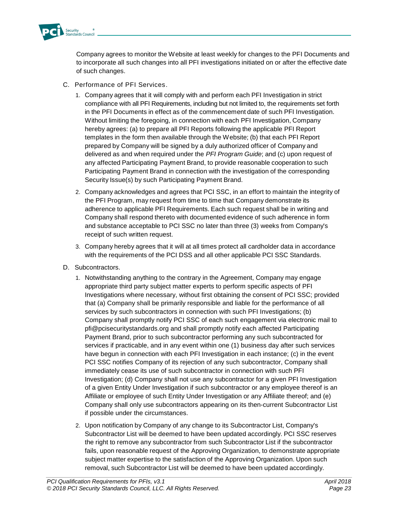

Company agrees to monitor the Website at least weekly for changes to the PFI Documents and to incorporate all such changes into all PFI investigations initiated on or after the effective date of such changes.

- C. Performance of PFI Services.
	- 1. Company agrees that it will comply with and perform each PFI Investigation in strict compliance with all PFI Requirements, including but not limited to, the requirements set forth in the PFI Documents in effect as of the commencement date of such PFI Investigation. Without limiting the foregoing, in connection with each PFI Investigation, Company hereby agrees: (a) to prepare all PFI Reports following the applicable PFI Report templates in the form then available through the Website; (b) that each PFI Report prepared by Company will be signed by a duly authorized officer of Company and delivered as and when required under the *PFI Program Guide*; and (c) upon request of any affected Participating Payment Brand, to provide reasonable cooperation to such Participating Payment Brand in connection with the investigation of the corresponding Security Issue(s) by such Participating Payment Brand.
	- 2. Company acknowledges and agrees that PCI SSC, in an effort to maintain the integrity of the PFI Program, may request from time to time that Company demonstrate its adherence to applicable PFI Requirements. Each such request shall be in writing and Company shall respond thereto with documented evidence of such adherence in form and substance acceptable to PCI SSC no later than three (3) weeks from Company's receipt of such written request.
	- 3. Company hereby agrees that it will at all times protect all cardholder data in accordance with the requirements of the PCI DSS and all other applicable PCI SSC Standards.
- D. Subcontractors.
	- 1. Notwithstanding anything to the contrary in the Agreement, Company may engage appropriate third party subject matter experts to perform specific aspects of PFI Investigations where necessary, without first obtaining the consent of PCI SSC; provided that (a) Company shall be primarily responsible and liable for the performance of all services by such subcontractors in connection with such PFI Investigations; (b) Company shall promptly notify PCI SSC of each such engagement via electronic mail to pfi@pcisecuritystandards.org and shall promptly notify each affected Participating Payment Brand, prior to such subcontractor performing any such subcontracted for services if practicable, and in any event within one (1) business day after such services have begun in connection with each PFI Investigation in each instance; (c) in the event PCI SSC notifies Company of its rejection of any such subcontractor, Company shall immediately cease its use of such subcontractor in connection with such PFI Investigation; (d) Company shall not use any subcontractor for a given PFI Investigation of a given Entity Under Investigation if such subcontractor or any employee thereof is an Affiliate or employee of such Entity Under Investigation or any Affiliate thereof; and (e) Company shall only use subcontractors appearing on its then-current Subcontractor List if possible under the circumstances.
	- 2. Upon notification by Company of any change to its Subcontractor List, Company's Subcontractor List will be deemed to have been updated accordingly. PCI SSC reserves the right to remove any subcontractor from such Subcontractor List if the subcontractor fails, upon reasonable request of the Approving Organization, to demonstrate appropriate subject matter expertise to the satisfaction of the Approving Organization. Upon such removal, such Subcontractor List will be deemed to have been updated accordingly.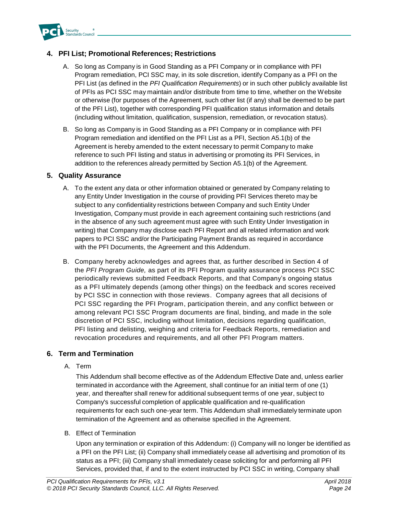

#### **4. PFI List; Promotional References; Restrictions**

- A. So long as Company is in Good Standing as a PFI Company or in compliance with PFI Program remediation, PCI SSC may, in its sole discretion, identify Company as a PFI on the PFI List (as defined in the *PFI Qualification Requirements*) or in such other publicly available list of PFIs as PCI SSC may maintain and/or distribute from time to time, whether on the Website or otherwise (for purposes of the Agreement, such other list (if any) shall be deemed to be part of the PFI List), together with corresponding PFI qualification status information and details (including without limitation, qualification, suspension, remediation, or revocation status).
- B. So long as Company is in Good Standing as a PFI Company or in compliance with PFI Program remediation and identified on the PFI List as a PFI, Section A5.1(b) of the Agreement is hereby amended to the extent necessary to permit Company to make reference to such PFI listing and status in advertising or promoting its PFI Services, in addition to the references already permitted by Section A5.1(b) of the Agreement.

#### **5. Quality Assurance**

- A. To the extent any data or other information obtained or generated by Company relating to any Entity Under Investigation in the course of providing PFI Services thereto may be subject to any confidentiality restrictions between Company and such Entity Under Investigation, Company must provide in each agreement containing such restrictions (and in the absence of any such agreement must agree with such Entity Under Investigation in writing) that Company may disclose each PFI Report and all related information and work papers to PCI SSC and/or the Participating Payment Brands as required in accordance with the PFI Documents, the Agreement and this Addendum.
- B. Company hereby acknowledges and agrees that, as further described in Section 4 of the *PFI Program Guide,* as part of its PFI Program quality assurance process PCI SSC periodically reviews submitted Feedback Reports, and that Company's ongoing status as a PFI ultimately depends (among other things) on the feedback and scores received by PCI SSC in connection with those reviews. Company agrees that all decisions of PCI SSC regarding the PFI Program, participation therein, and any conflict between or among relevant PCI SSC Program documents are final, binding, and made in the sole discretion of PCI SSC, including without limitation, decisions regarding qualification, PFI listing and delisting, weighing and criteria for Feedback Reports, remediation and revocation procedures and requirements, and all other PFI Program matters.

#### **6. Term and Termination**

A. Term

This Addendum shall become effective as of the Addendum Effective Date and, unless earlier terminated in accordance with the Agreement, shall continue for an initial term of one (1) year, and thereafter shall renew for additional subsequent terms of one year, subject to Company's successful completion of applicable qualification and re-qualification requirements for each such one-year term. This Addendum shall immediately terminate upon termination of the Agreement and as otherwise specified in the Agreement.

B. Effect of Termination

Upon any termination or expiration of this Addendum: (i) Company will no longer be identified as a PFI on the PFI List; (ii) Company shall immediately cease all advertising and promotion of its status as a PFI; (iii) Company shall immediately cease soliciting for and performing all PFI Services, provided that, if and to the extent instructed by PCI SSC in writing, Company shall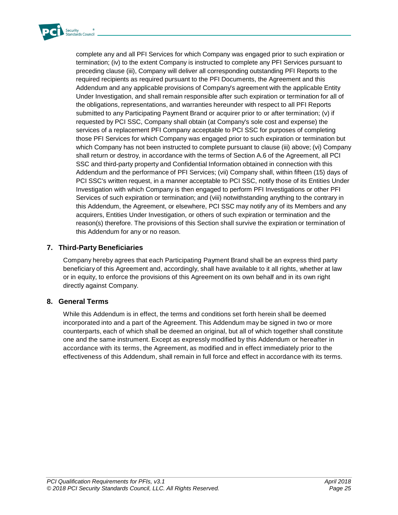

complete any and all PFI Services for which Company was engaged prior to such expiration or termination; (iv) to the extent Company is instructed to complete any PFI Services pursuant to preceding clause (iii), Company will deliver all corresponding outstanding PFI Reports to the required recipients as required pursuant to the PFI Documents, the Agreement and this Addendum and any applicable provisions of Company's agreement with the applicable Entity Under Investigation, and shall remain responsible after such expiration or termination for all of the obligations, representations, and warranties hereunder with respect to all PFI Reports submitted to any Participating Payment Brand or acquirer prior to or after termination; (v) if requested by PCI SSC, Company shall obtain (at Company's sole cost and expense) the services of a replacement PFI Company acceptable to PCI SSC for purposes of completing those PFI Services for which Company was engaged prior to such expiration or termination but which Company has not been instructed to complete pursuant to clause (iii) above; (vi) Company shall return or destroy, in accordance with the terms of Section A.6 of the Agreement, all PCI SSC and third-party property and Confidential Information obtained in connection with this Addendum and the performance of PFI Services; (vii) Company shall, within fifteen (15) days of PCI SSC's written request, in a manner acceptable to PCI SSC, notify those of its Entities Under Investigation with which Company is then engaged to perform PFI Investigations or other PFI Services of such expiration or termination; and (viii) notwithstanding anything to the contrary in this Addendum, the Agreement, or elsewhere, PCI SSC may notify any of its Members and any acquirers, Entities Under Investigation, or others of such expiration or termination and the reason(s) therefore. The provisions of this Section shall survive the expiration or termination of this Addendum for any or no reason.

#### **7. Third-Party Beneficiaries**

Company hereby agrees that each Participating Payment Brand shall be an express third party beneficiary of this Agreement and, accordingly, shall have available to it all rights, whether at law or in equity, to enforce the provisions of this Agreement on its own behalf and in its own right directly against Company.

#### **8. General Terms**

While this Addendum is in effect, the terms and conditions set forth herein shall be deemed incorporated into and a part of the Agreement. This Addendum may be signed in two or more counterparts, each of which shall be deemed an original, but all of which together shall constitute one and the same instrument. Except as expressly modified by this Addendum or hereafter in accordance with its terms, the Agreement, as modified and in effect immediately prior to the effectiveness of this Addendum, shall remain in full force and effect in accordance with its terms.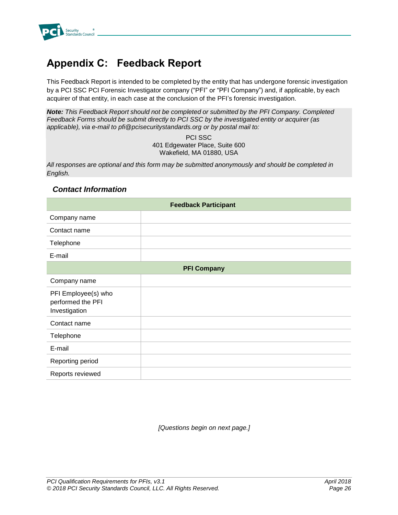

# <span id="page-30-0"></span>**Appendix C: Feedback Report**

This Feedback Report is intended to be completed by the entity that has undergone forensic investigation by a PCI SSC PCI Forensic Investigator company ("PFI" or "PFI Company") and, if applicable, by each acquirer of that entity, in each case at the conclusion of the PFI's forensic investigation.

*Note: This Feedback Report should not be completed or submitted by the PFI Company. Completed Feedback Forms should be submit directly to PCI SSC by the investigated entity or acquirer (as applicable), via e-mail to pfi@pcisecuritystandards.org or by postal mail to:*

> PCI SSC 401 Edgewater Place, Suite 600 Wakefield, MA 01880, USA

*All responses are optional and this form may be submitted anonymously and should be completed in English.*

#### *Contact Information*

| <b>Feedback Participant</b>                               |                    |  |
|-----------------------------------------------------------|--------------------|--|
| Company name                                              |                    |  |
| Contact name                                              |                    |  |
| Telephone                                                 |                    |  |
| E-mail                                                    |                    |  |
|                                                           | <b>PFI Company</b> |  |
| Company name                                              |                    |  |
| PFI Employee(s) who<br>performed the PFI<br>Investigation |                    |  |
| Contact name                                              |                    |  |
| Telephone                                                 |                    |  |
| E-mail                                                    |                    |  |
| Reporting period                                          |                    |  |
| Reports reviewed                                          |                    |  |

*[Questions begin on next page.]*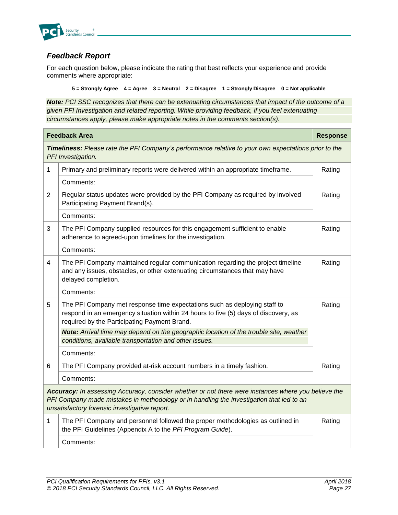

### *Feedback Report*

For each question below, please indicate the rating that best reflects your experience and provide comments where appropriate:

**5 = Strongly Agree 4 = Agree 3 = Neutral 2 = Disagree 1 = Strongly Disagree 0 = Not applicable**

*Note: PCI SSC recognizes that there can be extenuating circumstances that impact of the outcome of a given PFI Investigation and related reporting. While providing feedback, if you feel extenuating circumstances apply, please make appropriate notes in the comments section(s).*

| <b>Feedback Area</b>                                                                                                                                                                                                                             |                                                                                                                                                                                                                  |        |  |
|--------------------------------------------------------------------------------------------------------------------------------------------------------------------------------------------------------------------------------------------------|------------------------------------------------------------------------------------------------------------------------------------------------------------------------------------------------------------------|--------|--|
|                                                                                                                                                                                                                                                  | Timeliness: Please rate the PFI Company's performance relative to your own expectations prior to the<br>PFI Investigation.                                                                                       |        |  |
| 1                                                                                                                                                                                                                                                | Primary and preliminary reports were delivered within an appropriate timeframe.                                                                                                                                  | Rating |  |
|                                                                                                                                                                                                                                                  | Comments:                                                                                                                                                                                                        |        |  |
| $\overline{2}$                                                                                                                                                                                                                                   | Regular status updates were provided by the PFI Company as required by involved<br>Participating Payment Brand(s).                                                                                               | Rating |  |
|                                                                                                                                                                                                                                                  | Comments:                                                                                                                                                                                                        |        |  |
| 3                                                                                                                                                                                                                                                | The PFI Company supplied resources for this engagement sufficient to enable<br>adherence to agreed-upon timelines for the investigation.                                                                         | Rating |  |
|                                                                                                                                                                                                                                                  | Comments:                                                                                                                                                                                                        |        |  |
| 4                                                                                                                                                                                                                                                | The PFI Company maintained regular communication regarding the project timeline<br>and any issues, obstacles, or other extenuating circumstances that may have<br>delayed completion.                            | Rating |  |
|                                                                                                                                                                                                                                                  | Comments:                                                                                                                                                                                                        |        |  |
| 5                                                                                                                                                                                                                                                | The PFI Company met response time expectations such as deploying staff to<br>respond in an emergency situation within 24 hours to five (5) days of discovery, as<br>required by the Participating Payment Brand. | Rating |  |
|                                                                                                                                                                                                                                                  | Note: Arrival time may depend on the geographic location of the trouble site, weather                                                                                                                            |        |  |
|                                                                                                                                                                                                                                                  | conditions, available transportation and other issues.                                                                                                                                                           |        |  |
|                                                                                                                                                                                                                                                  | Comments:                                                                                                                                                                                                        |        |  |
| 6                                                                                                                                                                                                                                                | The PFI Company provided at-risk account numbers in a timely fashion.                                                                                                                                            | Rating |  |
|                                                                                                                                                                                                                                                  | Comments:                                                                                                                                                                                                        |        |  |
| Accuracy: In assessing Accuracy, consider whether or not there were instances where you believe the<br>PFI Company made mistakes in methodology or in handling the investigation that led to an<br>unsatisfactory forensic investigative report. |                                                                                                                                                                                                                  |        |  |
| $\mathbf{1}$                                                                                                                                                                                                                                     | The PFI Company and personnel followed the proper methodologies as outlined in<br>the PFI Guidelines (Appendix A to the PFI Program Guide).                                                                      | Rating |  |
| Comments:                                                                                                                                                                                                                                        |                                                                                                                                                                                                                  |        |  |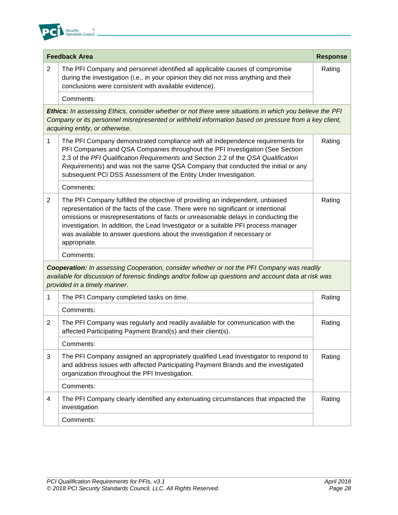

| <b>Feedback Area</b>                                                                                                                                                                                                                       |                                                                                                                                                                                                                                                                                                                                                                                                                                             |        |
|--------------------------------------------------------------------------------------------------------------------------------------------------------------------------------------------------------------------------------------------|---------------------------------------------------------------------------------------------------------------------------------------------------------------------------------------------------------------------------------------------------------------------------------------------------------------------------------------------------------------------------------------------------------------------------------------------|--------|
| $\overline{2}$                                                                                                                                                                                                                             | The PFI Company and personnel identified all applicable causes of compromise<br>during the investigation (i.e., in your opinion they did not miss anything and their<br>conclusions were consistent with available evidence).                                                                                                                                                                                                               | Rating |
|                                                                                                                                                                                                                                            | Comments:                                                                                                                                                                                                                                                                                                                                                                                                                                   |        |
|                                                                                                                                                                                                                                            | Ethics: In assessing Ethics, consider whether or not there were situations in which you believe the PFI<br>Company or its personnel misrepresented or withheld information based on pressure from a key client,<br>acquiring entity, or otherwise.                                                                                                                                                                                          |        |
| $\mathbf{1}$                                                                                                                                                                                                                               | The PFI Company demonstrated compliance with all independence requirements for<br>PFI Companies and QSA Companies throughout the PFI Investigation (See Section<br>2.3 of the PFI Qualification Requirements and Section 2.2 of the QSA Qualification<br>Requirements) and was not the same QSA Company that conducted the initial or any<br>subsequent PCI DSS Assessment of the Entity Under Investigation.                               | Rating |
|                                                                                                                                                                                                                                            | Comments:                                                                                                                                                                                                                                                                                                                                                                                                                                   |        |
| 2                                                                                                                                                                                                                                          | The PFI Company fulfilled the objective of providing an independent, unbiased<br>representation of the facts of the case. There were no significant or intentional<br>omissions or misrepresentations of facts or unreasonable delays in conducting the<br>investigation. In addition, the Lead Investigator or a suitable PFI process manager<br>was available to answer questions about the investigation if necessary or<br>appropriate. | Rating |
|                                                                                                                                                                                                                                            | Comments:                                                                                                                                                                                                                                                                                                                                                                                                                                   |        |
| <b>Cooperation:</b> In assessing Cooperation, consider whether or not the PFI Company was readily<br>available for discussion of forensic findings and/or follow up questions and account data at risk was<br>provided in a timely manner. |                                                                                                                                                                                                                                                                                                                                                                                                                                             |        |
| $\mathbf 1$                                                                                                                                                                                                                                | The PFI Company completed tasks on time.                                                                                                                                                                                                                                                                                                                                                                                                    | Rating |
|                                                                                                                                                                                                                                            | Comments:                                                                                                                                                                                                                                                                                                                                                                                                                                   |        |
| $\overline{2}$                                                                                                                                                                                                                             | The PFI Company was regularly and readily available for communication with the<br>affected Participating Payment Brand(s) and their client(s).                                                                                                                                                                                                                                                                                              | Rating |
|                                                                                                                                                                                                                                            | Comments:                                                                                                                                                                                                                                                                                                                                                                                                                                   |        |
| 3                                                                                                                                                                                                                                          | The PFI Company assigned an appropriately qualified Lead Investigator to respond to<br>and address issues with affected Participating Payment Brands and the investigated<br>organization throughout the PFI Investigation.                                                                                                                                                                                                                 | Rating |
|                                                                                                                                                                                                                                            | Comments:                                                                                                                                                                                                                                                                                                                                                                                                                                   |        |
| 4                                                                                                                                                                                                                                          | The PFI Company clearly identified any extenuating circumstances that impacted the<br>investigation                                                                                                                                                                                                                                                                                                                                         | Rating |
|                                                                                                                                                                                                                                            | Comments:                                                                                                                                                                                                                                                                                                                                                                                                                                   |        |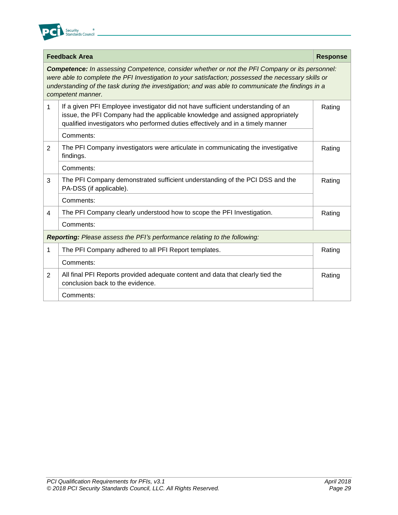

|                                                                           | <b>Feedback Area</b><br><b>Response</b>                                                                                                                                                                                                                                                                                                |        |  |  |
|---------------------------------------------------------------------------|----------------------------------------------------------------------------------------------------------------------------------------------------------------------------------------------------------------------------------------------------------------------------------------------------------------------------------------|--------|--|--|
|                                                                           | <b>Competence:</b> In assessing Competence, consider whether or not the PFI Company or its personnel:<br>were able to complete the PFI Investigation to your satisfaction; possessed the necessary skills or<br>understanding of the task during the investigation; and was able to communicate the findings in a<br>competent manner. |        |  |  |
| 1                                                                         | If a given PFI Employee investigator did not have sufficient understanding of an<br>Rating<br>issue, the PFI Company had the applicable knowledge and assigned appropriately<br>qualified investigators who performed duties effectively and in a timely manner                                                                        |        |  |  |
|                                                                           | Comments:                                                                                                                                                                                                                                                                                                                              |        |  |  |
| 2                                                                         | The PFI Company investigators were articulate in communicating the investigative<br>findings.                                                                                                                                                                                                                                          | Rating |  |  |
|                                                                           | Comments:                                                                                                                                                                                                                                                                                                                              |        |  |  |
| 3                                                                         | The PFI Company demonstrated sufficient understanding of the PCI DSS and the<br>PA-DSS (if applicable).                                                                                                                                                                                                                                | Rating |  |  |
|                                                                           | Comments:                                                                                                                                                                                                                                                                                                                              |        |  |  |
| 4                                                                         | The PFI Company clearly understood how to scope the PFI Investigation.                                                                                                                                                                                                                                                                 | Rating |  |  |
|                                                                           | Comments:                                                                                                                                                                                                                                                                                                                              |        |  |  |
| Reporting: Please assess the PFI's performance relating to the following: |                                                                                                                                                                                                                                                                                                                                        |        |  |  |
| 1                                                                         | The PFI Company adhered to all PFI Report templates.                                                                                                                                                                                                                                                                                   | Rating |  |  |
|                                                                           | Comments:                                                                                                                                                                                                                                                                                                                              |        |  |  |
| $\overline{2}$                                                            | All final PFI Reports provided adequate content and data that clearly tied the<br>conclusion back to the evidence.                                                                                                                                                                                                                     | Rating |  |  |
|                                                                           | Comments:                                                                                                                                                                                                                                                                                                                              |        |  |  |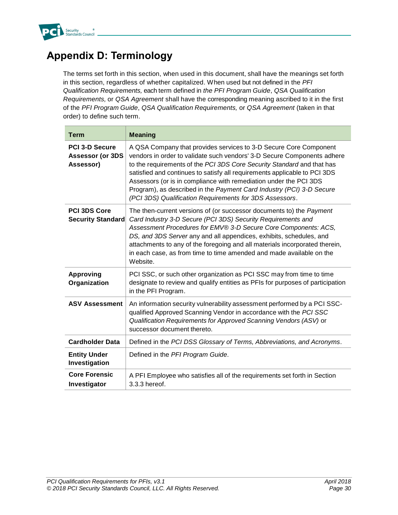

# <span id="page-34-0"></span>**Appendix D: Terminology**

The terms set forth in this section, when used in this document, shall have the meanings set forth in this section, regardless of whether capitalized. When used but not defined in the *PFI Qualification Requirements,* each term defined in *the PFI Program Guide*, *QSA Qualification Requirements,* or *QSA Agreement* shall have the corresponding meaning ascribed to it in the first of the *PFI Program Guide*, *QSA Qualification Requirements,* or *QSA Agreement* (taken in that order) to define such term.

| <b>Term</b>                                                   | <b>Meaning</b>                                                                                                                                                                                                                                                                                                                                                                                                                                                                                              |
|---------------------------------------------------------------|-------------------------------------------------------------------------------------------------------------------------------------------------------------------------------------------------------------------------------------------------------------------------------------------------------------------------------------------------------------------------------------------------------------------------------------------------------------------------------------------------------------|
| <b>PCI 3-D Secure</b><br><b>Assessor (or 3DS</b><br>Assessor) | A QSA Company that provides services to 3-D Secure Core Component<br>vendors in order to validate such vendors' 3-D Secure Components adhere<br>to the requirements of the PCI 3DS Core Security Standard and that has<br>satisfied and continues to satisfy all requirements applicable to PCI 3DS<br>Assessors (or is in compliance with remediation under the PCI 3DS<br>Program), as described in the Payment Card Industry (PCI) 3-D Secure<br>(PCI 3DS) Qualification Requirements for 3DS Assessors. |
| <b>PCI 3DS Core</b><br><b>Security Standard</b>               | The then-current versions of (or successor documents to) the Payment<br>Card Industry 3-D Secure (PCI 3DS) Security Requirements and<br>Assessment Procedures for EMV® 3-D Secure Core Components: ACS,<br>DS, and 3DS Server any and all appendices, exhibits, schedules, and<br>attachments to any of the foregoing and all materials incorporated therein,<br>in each case, as from time to time amended and made available on the<br>Website.                                                           |
| <b>Approving</b><br>Organization                              | PCI SSC, or such other organization as PCI SSC may from time to time<br>designate to review and qualify entities as PFIs for purposes of participation<br>in the PFI Program.                                                                                                                                                                                                                                                                                                                               |
| <b>ASV Assessment</b>                                         | An information security vulnerability assessment performed by a PCI SSC-<br>qualified Approved Scanning Vendor in accordance with the PCI SSC<br>Qualification Requirements for Approved Scanning Vendors (ASV) or<br>successor document thereto.                                                                                                                                                                                                                                                           |
| <b>Cardholder Data</b>                                        | Defined in the PCI DSS Glossary of Terms, Abbreviations, and Acronyms.                                                                                                                                                                                                                                                                                                                                                                                                                                      |
| <b>Entity Under</b><br>Investigation                          | Defined in the PFI Program Guide.                                                                                                                                                                                                                                                                                                                                                                                                                                                                           |
| <b>Core Forensic</b><br>Investigator                          | A PFI Employee who satisfies all of the requirements set forth in Section<br>3.3.3 hereof.                                                                                                                                                                                                                                                                                                                                                                                                                  |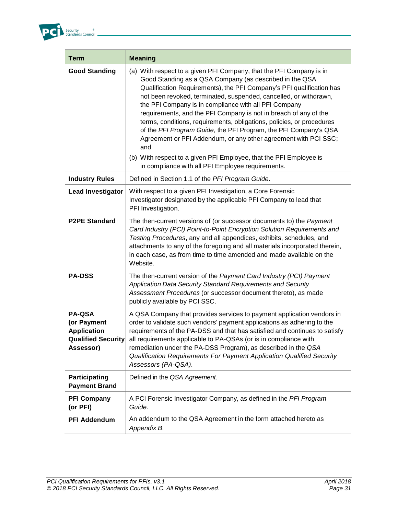

г

| <b>Term</b>                                                                                  | <b>Meaning</b>                                                                                                                                                                                                                                                                                                                                                                                                                                                                                                                                                                                                                                                                                                                                             |
|----------------------------------------------------------------------------------------------|------------------------------------------------------------------------------------------------------------------------------------------------------------------------------------------------------------------------------------------------------------------------------------------------------------------------------------------------------------------------------------------------------------------------------------------------------------------------------------------------------------------------------------------------------------------------------------------------------------------------------------------------------------------------------------------------------------------------------------------------------------|
| <b>Good Standing</b>                                                                         | (a) With respect to a given PFI Company, that the PFI Company is in<br>Good Standing as a QSA Company (as described in the QSA<br>Qualification Requirements), the PFI Company's PFI qualification has<br>not been revoked, terminated, suspended, cancelled, or withdrawn,<br>the PFI Company is in compliance with all PFI Company<br>requirements, and the PFI Company is not in breach of any of the<br>terms, conditions, requirements, obligations, policies, or procedures<br>of the PFI Program Guide, the PFI Program, the PFI Company's QSA<br>Agreement or PFI Addendum, or any other agreement with PCI SSC;<br>and<br>(b) With respect to a given PFI Employee, that the PFI Employee is<br>in compliance with all PFI Employee requirements. |
| <b>Industry Rules</b>                                                                        | Defined in Section 1.1 of the PFI Program Guide.                                                                                                                                                                                                                                                                                                                                                                                                                                                                                                                                                                                                                                                                                                           |
| <b>Lead Investigator</b>                                                                     | With respect to a given PFI Investigation, a Core Forensic<br>Investigator designated by the applicable PFI Company to lead that<br>PFI Investigation.                                                                                                                                                                                                                                                                                                                                                                                                                                                                                                                                                                                                     |
| <b>P2PE Standard</b>                                                                         | The then-current versions of (or successor documents to) the Payment<br>Card Industry (PCI) Point-to-Point Encryption Solution Requirements and<br>Testing Procedures, any and all appendices, exhibits, schedules, and<br>attachments to any of the foregoing and all materials incorporated therein,<br>in each case, as from time to time amended and made available on the<br>Website.                                                                                                                                                                                                                                                                                                                                                                 |
| <b>PA-DSS</b>                                                                                | The then-current version of the Payment Card Industry (PCI) Payment<br>Application Data Security Standard Requirements and Security<br>Assessment Procedures (or successor document thereto), as made<br>publicly available by PCI SSC.                                                                                                                                                                                                                                                                                                                                                                                                                                                                                                                    |
| <b>PA-QSA</b><br>(or Payment<br><b>Application</b><br><b>Qualified Security</b><br>Assessor) | A QSA Company that provides services to payment application vendors in<br>order to validate such vendors' payment applications as adhering to the<br>requirements of the PA-DSS and that has satisfied and continues to satisfy<br>all requirements applicable to PA-QSAs (or is in compliance with<br>remediation under the PA-DSS Program), as described in the QSA<br>Qualification Requirements For Payment Application Qualified Security<br>Assessors (PA-QSA).                                                                                                                                                                                                                                                                                      |
| Participating<br><b>Payment Brand</b>                                                        | Defined in the QSA Agreement.                                                                                                                                                                                                                                                                                                                                                                                                                                                                                                                                                                                                                                                                                                                              |
| <b>PFI Company</b><br>(or PFI)                                                               | A PCI Forensic Investigator Company, as defined in the PFI Program<br>Guide.                                                                                                                                                                                                                                                                                                                                                                                                                                                                                                                                                                                                                                                                               |
| <b>PFI Addendum</b>                                                                          | An addendum to the QSA Agreement in the form attached hereto as<br>Appendix B.                                                                                                                                                                                                                                                                                                                                                                                                                                                                                                                                                                                                                                                                             |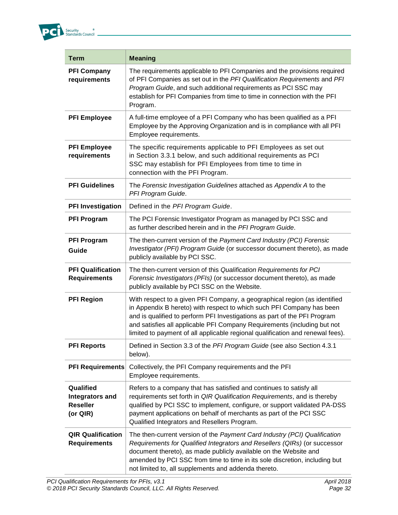

г

| <b>Term</b>                                                        | <b>Meaning</b>                                                                                                                                                                                                                                                                                                                                                                                |
|--------------------------------------------------------------------|-----------------------------------------------------------------------------------------------------------------------------------------------------------------------------------------------------------------------------------------------------------------------------------------------------------------------------------------------------------------------------------------------|
| <b>PFI Company</b><br>requirements                                 | The requirements applicable to PFI Companies and the provisions required<br>of PFI Companies as set out in the PFI Qualification Requirements and PFI<br>Program Guide, and such additional requirements as PCI SSC may<br>establish for PFI Companies from time to time in connection with the PFI<br>Program.                                                                               |
| <b>PFI Employee</b>                                                | A full-time employee of a PFI Company who has been qualified as a PFI<br>Employee by the Approving Organization and is in compliance with all PFI<br>Employee requirements.                                                                                                                                                                                                                   |
| <b>PFI Employee</b><br>requirements                                | The specific requirements applicable to PFI Employees as set out<br>in Section 3.3.1 below, and such additional requirements as PCI<br>SSC may establish for PFI Employees from time to time in<br>connection with the PFI Program.                                                                                                                                                           |
| <b>PFI Guidelines</b>                                              | The Forensic Investigation Guidelines attached as Appendix A to the<br>PFI Program Guide.                                                                                                                                                                                                                                                                                                     |
| <b>PFI Investigation</b>                                           | Defined in the PFI Program Guide.                                                                                                                                                                                                                                                                                                                                                             |
| <b>PFI Program</b>                                                 | The PCI Forensic Investigator Program as managed by PCI SSC and<br>as further described herein and in the PFI Program Guide.                                                                                                                                                                                                                                                                  |
| <b>PFI Program</b><br>Guide                                        | The then-current version of the Payment Card Industry (PCI) Forensic<br>Investigator (PFI) Program Guide (or successor document thereto), as made<br>publicly available by PCI SSC.                                                                                                                                                                                                           |
| <b>PFI Qualification</b><br><b>Requirements</b>                    | The then-current version of this Qualification Requirements for PCI<br>Forensic Investigators (PFIs) (or successor document thereto), as made<br>publicly available by PCI SSC on the Website.                                                                                                                                                                                                |
| <b>PFI Region</b>                                                  | With respect to a given PFI Company, a geographical region (as identified<br>in Appendix B hereto) with respect to which such PFI Company has been<br>and is qualified to perform PFI Investigations as part of the PFI Program<br>and satisfies all applicable PFI Company Requirements (including but not<br>limited to payment of all applicable regional qualification and renewal fees). |
| <b>PFI Reports</b>                                                 | Defined in Section 3.3 of the PFI Program Guide (see also Section 4.3.1<br>below).                                                                                                                                                                                                                                                                                                            |
| <b>PFI Requirements</b>                                            | Collectively, the PFI Company requirements and the PFI<br>Employee requirements.                                                                                                                                                                                                                                                                                                              |
| Qualified<br><b>Integrators and</b><br><b>Reseller</b><br>(or QIR) | Refers to a company that has satisfied and continues to satisfy all<br>requirements set forth in QIR Qualification Requirements, and is thereby<br>qualified by PCI SSC to implement, configure, or support validated PA-DSS<br>payment applications on behalf of merchants as part of the PCI SSC<br>Qualified Integrators and Resellers Program.                                            |
| <b>QIR Qualification</b><br><b>Requirements</b>                    | The then-current version of the Payment Card Industry (PCI) Qualification<br>Requirements for Qualified Integrators and Resellers (QIRs) (or successor<br>document thereto), as made publicly available on the Website and<br>amended by PCI SSC from time to time in its sole discretion, including but<br>not limited to, all supplements and addenda thereto.                              |